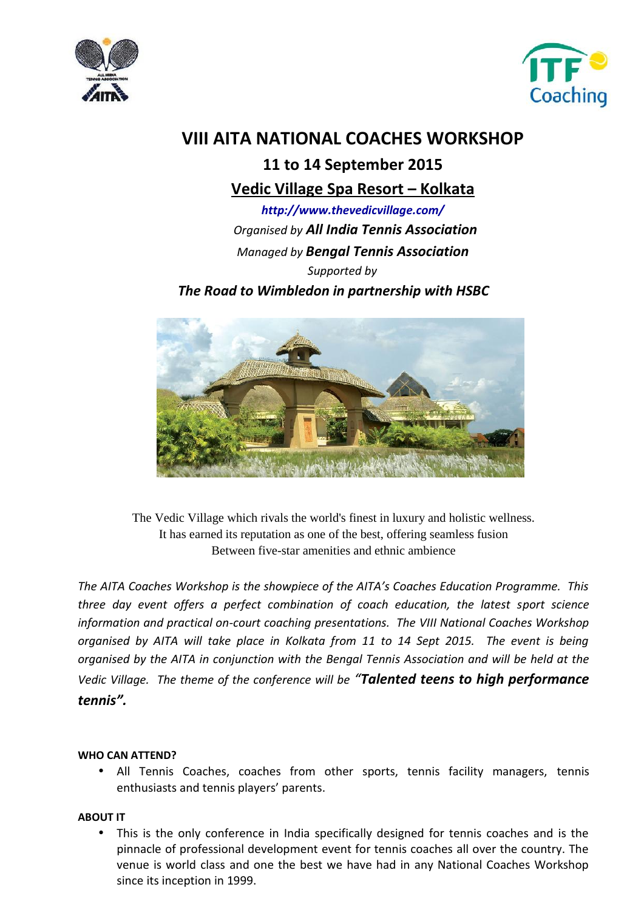



## **11 to 14 September 2015**

## **Vedic Village Spa Resort – Kolkata**

*http://www.thevedicvillage.com/ Organised by All India Tennis Association Managed by Bengal Tennis Association Supported by The Road to Wimbledon in partnership with HSBC*



The Vedic Village which rivals the world's finest in luxury and holistic wellness. It has earned its reputation as one of the best, offering seamless fusion Between five-star amenities and ethnic ambience

*The AITA Coaches Workshop is the showpiece of the AITA's Coaches Education Programme. This three day event offers a perfect combination of coach education, the latest sport science information and practical on-court coaching presentations. The VIII National Coaches Workshop organised by AITA will take place in Kolkata from 11 to 14 Sept 2015. The event is being organised by the AITA in conjunction with the Bengal Tennis Association and will be held at the Vedic Village. The theme of the conference will be "Talented teens to high performance tennis".*

#### **WHO CAN ATTEND?**

 All Tennis Coaches, coaches from other sports, tennis facility managers, tennis enthusiasts and tennis players' parents.

#### **ABOUT IT**

 This is the only conference in India specifically designed for tennis coaches and is the pinnacle of professional development event for tennis coaches all over the country. The venue is world class and one the best we have had in any National Coaches Workshop since its inception in 1999.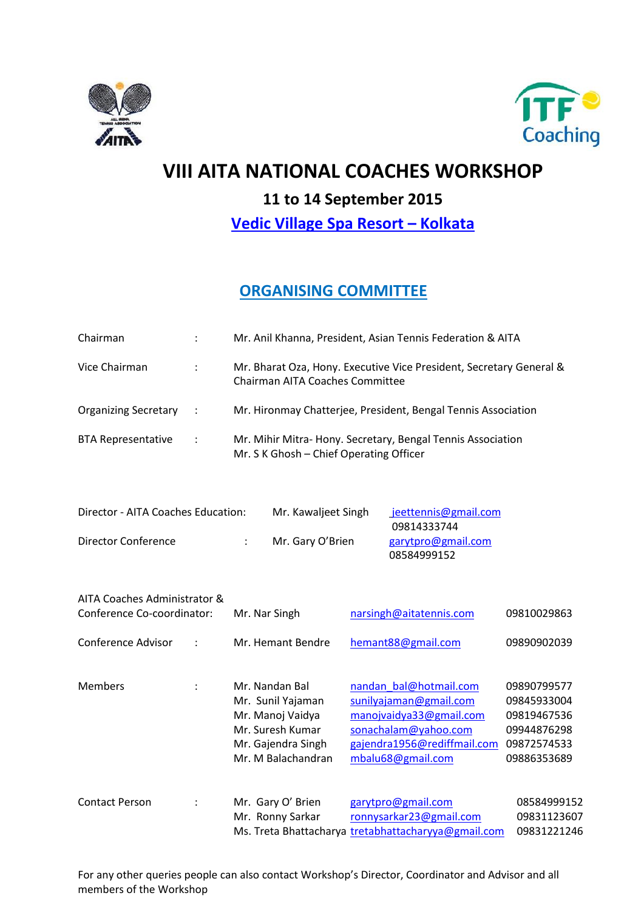



# **11 to 14 September 2015**

**Vedic Village Spa Resort – Kolkata**

## **ORGANISING COMMITTEE**

| Chairman                                                   |                      | Mr. Anil Khanna, President, Asian Tennis Federation & AITA                                                              |                                                                                                                                                         |                                                                                        |
|------------------------------------------------------------|----------------------|-------------------------------------------------------------------------------------------------------------------------|---------------------------------------------------------------------------------------------------------------------------------------------------------|----------------------------------------------------------------------------------------|
| Vice Chairman                                              | $\ddot{\phantom{a}}$ | Mr. Bharat Oza, Hony. Executive Vice President, Secretary General &<br><b>Chairman AITA Coaches Committee</b>           |                                                                                                                                                         |                                                                                        |
| <b>Organizing Secretary</b>                                | $\ddot{\cdot}$       | Mr. Hironmay Chatterjee, President, Bengal Tennis Association                                                           |                                                                                                                                                         |                                                                                        |
| <b>BTA Representative</b>                                  | $\ddot{\cdot}$       | Mr. Mihir Mitra-Hony. Secretary, Bengal Tennis Association<br>Mr. S K Ghosh - Chief Operating Officer                   |                                                                                                                                                         |                                                                                        |
| Director - AITA Coaches Education:                         |                      | Mr. Kawaljeet Singh                                                                                                     | jeettennis@gmail.com<br>09814333744                                                                                                                     |                                                                                        |
| <b>Director Conference</b>                                 |                      | Mr. Gary O'Brien                                                                                                        | garytpro@gmail.com<br>08584999152                                                                                                                       |                                                                                        |
| AITA Coaches Administrator &<br>Conference Co-coordinator: |                      | Mr. Nar Singh                                                                                                           | narsingh@aitatennis.com                                                                                                                                 | 09810029863                                                                            |
| Conference Advisor                                         |                      | Mr. Hemant Bendre                                                                                                       | hemant88@gmail.com                                                                                                                                      | 09890902039                                                                            |
| <b>Members</b>                                             | $\ddot{\cdot}$       | Mr. Nandan Bal<br>Mr. Sunil Yajaman<br>Mr. Manoj Vaidya<br>Mr. Suresh Kumar<br>Mr. Gajendra Singh<br>Mr. M Balachandran | nandan bal@hotmail.com<br>sunilyajaman@gmail.com<br>manojvaidya33@gmail.com<br>sonachalam@yahoo.com<br>gajendra1956@rediffmail.com<br>mbalu68@gmail.com | 09890799577<br>09845933004<br>09819467536<br>09944876298<br>09872574533<br>09886353689 |
| <b>Contact Person</b>                                      |                      | Mr. Gary O' Brien<br>Mr. Ronny Sarkar                                                                                   | garytpro@gmail.com<br>ronnysarkar23@gmail.com<br>Ms. Treta Bhattacharya tretabhattacharyya@gmail.com                                                    | 08584999152<br>09831123607<br>09831221246                                              |

For any other queries people can also contact Workshop's Director, Coordinator and Advisor and all members of the Workshop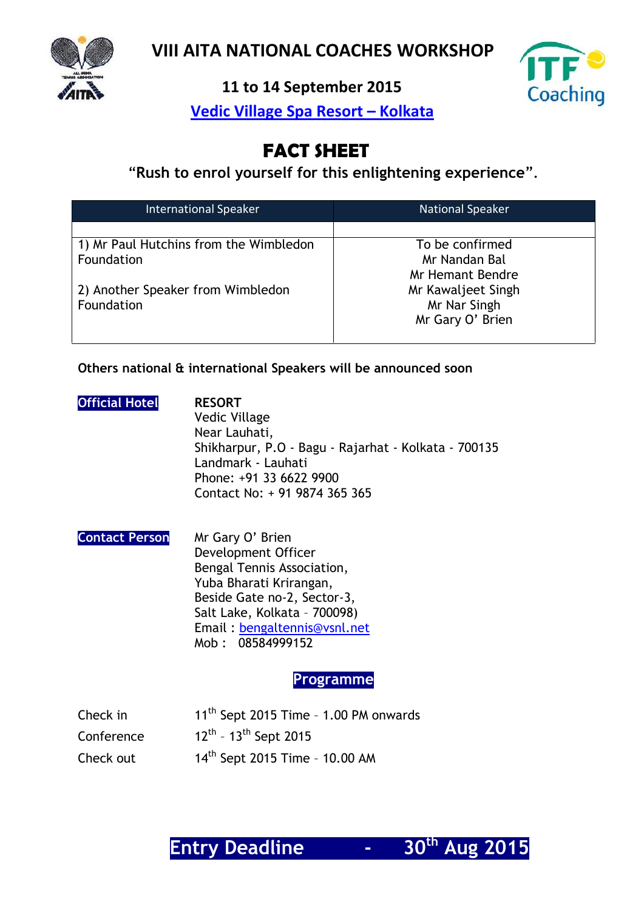

**11 to 14 September 2015**



**Vedic Village Spa Resort – Kolkata**

# **FACT SHEET**

"**Rush to enrol yourself for this enlightening experience**".

| <b>International Speaker</b>           | <b>National Speaker</b> |
|----------------------------------------|-------------------------|
|                                        |                         |
| 1) Mr Paul Hutchins from the Wimbledon | To be confirmed         |
| Foundation                             | Mr Nandan Bal           |
|                                        | Mr Hemant Bendre        |
| 2) Another Speaker from Wimbledon      | Mr Kawaljeet Singh      |
| Foundation                             | Mr Nar Singh            |
|                                        | Mr Gary O' Brien        |
|                                        |                         |

#### **Others national & international Speakers will be announced soon**

#### **Official Hotel RESORT**

Vedic Village Near Lauhati, Shikharpur, P.O - Bagu - Rajarhat - Kolkata - 700135 Landmark - Lauhati Phone: +91 33 6622 9900 Contact No: + 91 9874 365 365

| <b>Contact Person</b> | Mr Gary O' Brien             |
|-----------------------|------------------------------|
|                       | Development Officer          |
|                       | Bengal Tennis Association,   |
|                       | Yuba Bharati Krirangan,      |
|                       | Beside Gate no-2, Sector-3,  |
|                       | Salt Lake, Kolkata - 700098) |
|                       | Email: bengaltennis@vsnl.net |
|                       | Mob: 08584999152             |

#### **Programme**

| Check in   | $11th$ Sept 2015 Time - 1.00 PM onwards |
|------------|-----------------------------------------|
| Conference | $12^{th}$ - 13 <sup>th</sup> Sept 2015  |
| Check out  | $14^{th}$ Sept 2015 Time - 10.00 AM     |

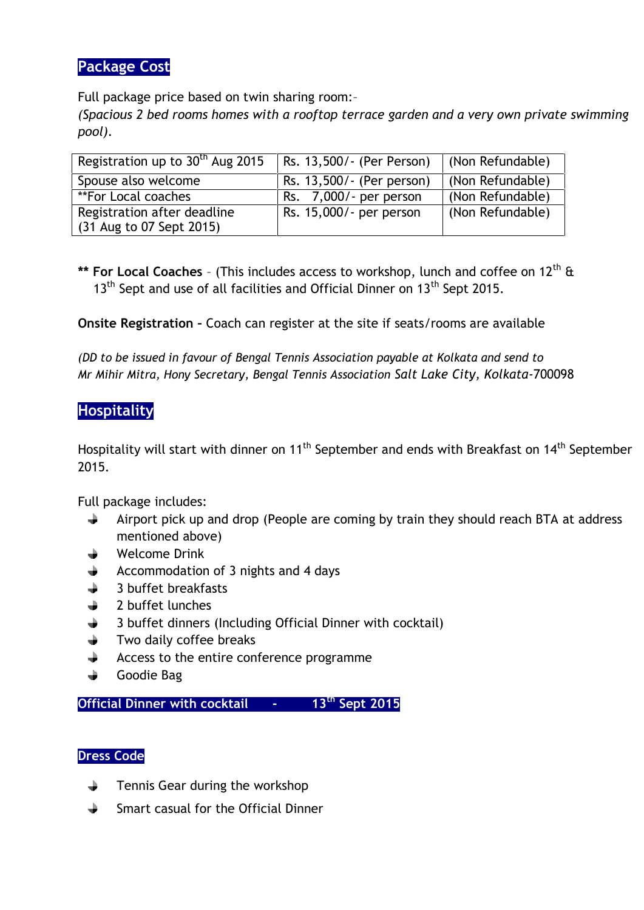### **Package Cost**

Full package price based on twin sharing room:–

*(Spacious 2 bed rooms homes with a rooftop terrace garden and a very own private swimming pool).*

| Registration up to 30 <sup>th</sup> Aug 2015 | Rs. 13,500/- (Per Person) | (Non Refundable) |
|----------------------------------------------|---------------------------|------------------|
| Spouse also welcome                          | Rs. 13,500/- (Per person) | (Non Refundable) |
| <i>**</i> For Local coaches                  | Rs. 7,000/- per person    | (Non Refundable) |
| Registration after deadline                  | Rs. 15,000/- per person   | (Non Refundable) |
| (31 Aug to 07 Sept 2015)                     |                           |                  |

\*\* **For Local Coaches** - (This includes access to workshop, lunch and coffee on 12<sup>th</sup> & 13<sup>th</sup> Sept and use of all facilities and Official Dinner on 13<sup>th</sup> Sept 2015.

**Onsite Registration –** Coach can register at the site if seats/rooms are available

*(DD to be issued in favour of Bengal Tennis Association payable at Kolkata and send to Mr Mihir Mitra, Hony Secretary, Bengal Tennis Association Salt Lake City, Kolkata-*700098

### **Hospitality**

Hospitality will start with dinner on 11<sup>th</sup> September and ends with Breakfast on 14<sup>th</sup> September 2015.

Full package includes:

- Airport pick up and drop (People are coming by train they should reach BTA at address ÷ mentioned above)
- Welcome Drink
- Accommodation of 3 nights and 4 days
- 3 buffet breakfasts
- 2 buffet lunches
- 3 buffet dinners (Including Official Dinner with cocktail)
- Two daily coffee breaks
- Access to the entire conference programme
- ÷ Goodie Bag

**Official Dinner with cocktail - 13th Sept 2015**

#### **Dress Code**

- Tennis Gear during the workshop ∸
- Smart casual for the Official Dinner÷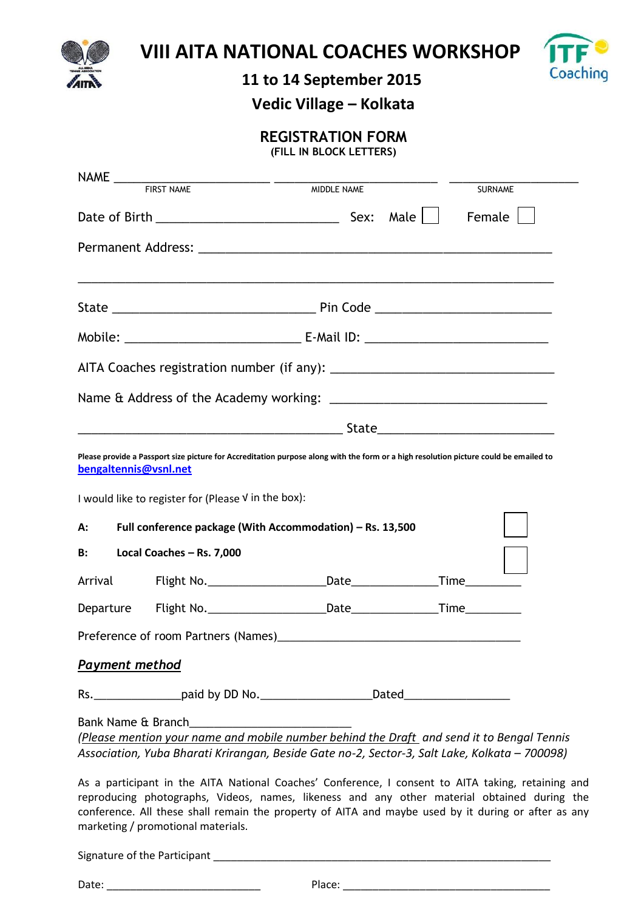



# **11 to 14 September 2015**

**Vedic Village – Kolkata**

## **REGISTRATION FORM**

**(FILL IN BLOCK LETTERS)**

|                       |                                                                                                                                                                                                   | MIDDLE NAME | SURNAME |  |
|-----------------------|---------------------------------------------------------------------------------------------------------------------------------------------------------------------------------------------------|-------------|---------|--|
|                       | Date of Birth $\sqrt{2}$ Date of Birth $\sqrt{2}$                                                                                                                                                 |             | Female  |  |
|                       |                                                                                                                                                                                                   |             |         |  |
|                       |                                                                                                                                                                                                   |             |         |  |
|                       |                                                                                                                                                                                                   |             |         |  |
|                       |                                                                                                                                                                                                   |             |         |  |
|                       |                                                                                                                                                                                                   |             |         |  |
|                       |                                                                                                                                                                                                   |             |         |  |
|                       |                                                                                                                                                                                                   |             |         |  |
| bengaltennis@vsnl.net | Please provide a Passport size picture for Accreditation purpose along with the form or a high resolution picture could be emailed to                                                             |             |         |  |
|                       | I would like to register for (Please V in the box):                                                                                                                                               |             |         |  |
| А:                    | Full conference package (With Accommodation) - Rs. 13,500                                                                                                                                         |             |         |  |
| <b>B:</b>             | Local Coaches - Rs. 7,000                                                                                                                                                                         |             |         |  |
|                       |                                                                                                                                                                                                   |             |         |  |
| Departure             |                                                                                                                                                                                                   |             |         |  |
|                       |                                                                                                                                                                                                   |             |         |  |
| <b>Payment method</b> |                                                                                                                                                                                                   |             |         |  |
|                       |                                                                                                                                                                                                   |             |         |  |
|                       | Bank Name & Branch                                                                                                                                                                                |             |         |  |
|                       | (Please mention your name and mobile number behind the Draft and send it to Bengal Tennis<br>Association, Yuba Bharati Krirangan, Beside Gate no-2, Sector-3, Salt Lake, Kolkata - 700098)        |             |         |  |
|                       |                                                                                                                                                                                                   |             |         |  |
|                       | As a participant in the AITA National Coaches' Conference, I consent to AITA taking, retaining and<br>reproducing photographs, Videos, names, likeness and any other material obtained during the |             |         |  |

reproducing photographs, Videos, names, likeness and any other material obtained during the conference. All these shall remain the property of AITA and maybe used by it during or after as any marketing / promotional materials.

Signature of the Participant \_\_\_\_\_\_\_\_\_\_\_\_\_\_\_\_\_\_\_\_\_\_\_\_\_\_\_\_\_\_\_\_\_\_\_\_\_\_\_\_\_\_\_\_\_\_\_\_\_\_\_\_\_\_\_\_\_

Date: \_\_\_\_\_\_\_\_\_\_\_\_\_\_\_\_\_\_\_\_\_\_\_\_\_\_ Place: \_\_\_\_\_\_\_\_\_\_\_\_\_\_\_\_\_\_\_\_\_\_\_\_\_\_\_\_\_\_\_\_\_\_\_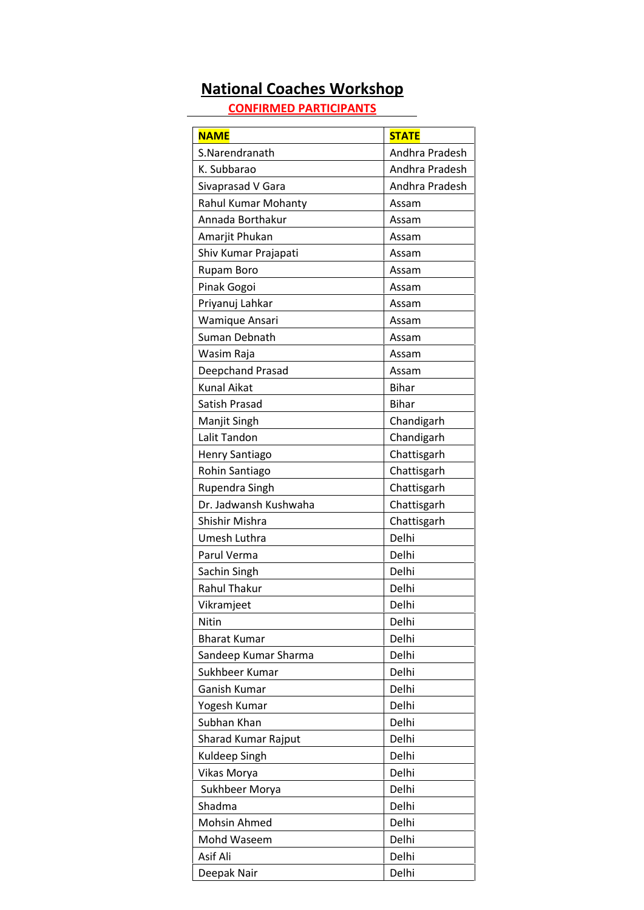# **National Coaches Workshop**

**CONFIRMED PARTICIPANTS**

| <b>NAME</b>                | <b>STATE</b>   |
|----------------------------|----------------|
| S.Narendranath             | Andhra Pradesh |
| K. Subbarao                | Andhra Pradesh |
| Sivaprasad V Gara          | Andhra Pradesh |
| <b>Rahul Kumar Mohanty</b> | Assam          |
| Annada Borthakur           | Assam          |
| Amarjit Phukan             | Assam          |
| Shiv Kumar Prajapati       | Assam          |
| Rupam Boro                 | Assam          |
| Pinak Gogoi                | Assam          |
| Priyanuj Lahkar            | Assam          |
| Wamique Ansari             | Assam          |
| Suman Debnath              | Assam          |
| Wasim Raja                 | Assam          |
| Deepchand Prasad           | Assam          |
| <b>Kunal Aikat</b>         | <b>Bihar</b>   |
| Satish Prasad              | <b>Bihar</b>   |
| Manjit Singh               | Chandigarh     |
| Lalit Tandon               | Chandigarh     |
| Henry Santiago             | Chattisgarh    |
| Rohin Santiago             | Chattisgarh    |
| Rupendra Singh             | Chattisgarh    |
| Dr. Jadwansh Kushwaha      | Chattisgarh    |
| Shishir Mishra             | Chattisgarh    |
| Umesh Luthra               | Delhi          |
| Parul Verma                | Delhi          |
| Sachin Singh               | Delhi          |
| <b>Rahul Thakur</b>        | Delhi          |
| Vikramjeet                 | Delhi          |
| Nitin                      | Delhi          |
| <b>Bharat Kumar</b>        | Delhi          |
| Sandeep Kumar Sharma       | Delhi          |
| Sukhbeer Kumar             | Delhi          |
| Ganish Kumar               | Delhi          |
| Yogesh Kumar               | Delhi          |
| Subhan Khan                | Delhi          |
| Sharad Kumar Rajput        | Delhi          |
| Kuldeep Singh              | Delhi          |
| Vikas Morya                | Delhi          |
| Sukhbeer Morya             | Delhi          |
| Shadma                     | Delhi          |
| Mohsin Ahmed               | Delhi          |
| Mohd Waseem                | Delhi          |
| Asif Ali                   | Delhi          |
| Deepak Nair                | Delhi          |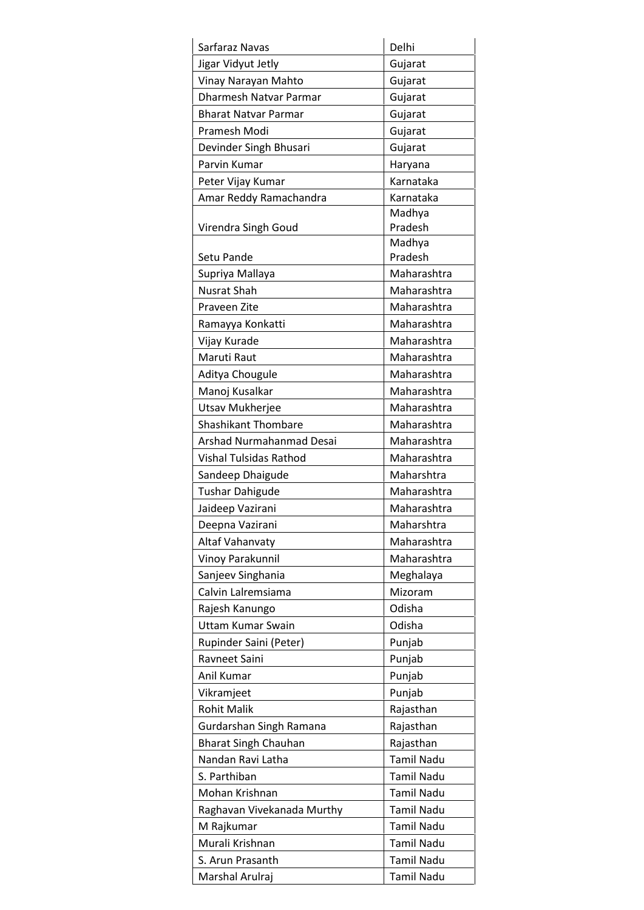| Sarfaraz Navas                | Delhi             |
|-------------------------------|-------------------|
| Jigar Vidyut Jetly            | Gujarat           |
| Vinay Narayan Mahto           | Gujarat           |
| <b>Dharmesh Natvar Parmar</b> | Gujarat           |
| <b>Bharat Natvar Parmar</b>   | Gujarat           |
| Pramesh Modi                  | Gujarat           |
| Devinder Singh Bhusari        | Gujarat           |
| Parvin Kumar                  | Haryana           |
| Peter Vijay Kumar             | Karnataka         |
| Amar Reddy Ramachandra        | Karnataka         |
|                               | Madhya            |
| Virendra Singh Goud           | Pradesh           |
|                               | Madhya            |
| Setu Pande                    | Pradesh           |
| Supriya Mallaya               | Maharashtra       |
| <b>Nusrat Shah</b>            | Maharashtra       |
| Praveen Zite                  | Maharashtra       |
| Ramayya Konkatti              | Maharashtra       |
| Vijay Kurade                  | Maharashtra       |
| Maruti Raut                   | Maharashtra       |
| Aditya Chougule               | Maharashtra       |
| Manoj Kusalkar                | Maharashtra       |
| Utsav Mukherjee               | Maharashtra       |
| <b>Shashikant Thombare</b>    | Maharashtra       |
| Arshad Nurmahanmad Desai      | Maharashtra       |
| Vishal Tulsidas Rathod        | Maharashtra       |
| Sandeep Dhaigude              | Maharshtra        |
| <b>Tushar Dahigude</b>        | Maharashtra       |
| Jaideep Vazirani              | Maharashtra       |
| Deepna Vazirani               | Maharshtra        |
| Altaf Vahanvaty               | Maharashtra       |
| Vinoy Parakunnil              | Maharashtra       |
| Sanjeev Singhania             | Meghalaya         |
| Calvin Lalremsiama            | Mizoram           |
| Rajesh Kanungo                | Odisha            |
| <b>Uttam Kumar Swain</b>      | Odisha            |
| Rupinder Saini (Peter)        | Punjab            |
| Ravneet Saini                 | Punjab            |
| Anil Kumar                    | Punjab            |
| Vikramjeet                    | Punjab            |
| <b>Rohit Malik</b>            | Rajasthan         |
| Gurdarshan Singh Ramana       | Rajasthan         |
| <b>Bharat Singh Chauhan</b>   | Rajasthan         |
| Nandan Ravi Latha             | <b>Tamil Nadu</b> |
| S. Parthiban                  | <b>Tamil Nadu</b> |
| Mohan Krishnan                | <b>Tamil Nadu</b> |
| Raghavan Vivekanada Murthy    | <b>Tamil Nadu</b> |
| M Rajkumar                    | <b>Tamil Nadu</b> |
| Murali Krishnan               | <b>Tamil Nadu</b> |
| S. Arun Prasanth              | <b>Tamil Nadu</b> |
| Marshal Arulraj               | <b>Tamil Nadu</b> |
|                               |                   |